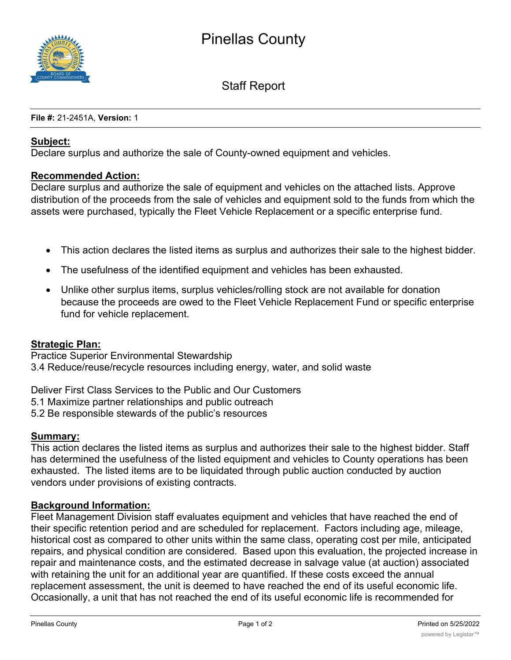

Staff Report

**File #:** 21-2451A, **Version:** 1

## **Subject:**

Declare surplus and authorize the sale of County-owned equipment and vehicles.

## **Recommended Action:**

Declare surplus and authorize the sale of equipment and vehicles on the attached lists. Approve distribution of the proceeds from the sale of vehicles and equipment sold to the funds from which the assets were purchased, typically the Fleet Vehicle Replacement or a specific enterprise fund.

- · This action declares the listed items as surplus and authorizes their sale to the highest bidder.
- · The usefulness of the identified equipment and vehicles has been exhausted.
- · Unlike other surplus items, surplus vehicles/rolling stock are not available for donation because the proceeds are owed to the Fleet Vehicle Replacement Fund or specific enterprise fund for vehicle replacement.

## **Strategic Plan:**

Practice Superior Environmental Stewardship 3.4 Reduce/reuse/recycle resources including energy, water, and solid waste

Deliver First Class Services to the Public and Our Customers

- 5.1 Maximize partner relationships and public outreach
- 5.2 Be responsible stewards of the public's resources

## **Summary:**

This action declares the listed items as surplus and authorizes their sale to the highest bidder. Staff has determined the usefulness of the listed equipment and vehicles to County operations has been exhausted. The listed items are to be liquidated through public auction conducted by auction vendors under provisions of existing contracts.

## **Background Information:**

Fleet Management Division staff evaluates equipment and vehicles that have reached the end of their specific retention period and are scheduled for replacement. Factors including age, mileage, historical cost as compared to other units within the same class, operating cost per mile, anticipated repairs, and physical condition are considered. Based upon this evaluation, the projected increase in repair and maintenance costs, and the estimated decrease in salvage value (at auction) associated with retaining the unit for an additional year are quantified. If these costs exceed the annual replacement assessment, the unit is deemed to have reached the end of its useful economic life. Occasionally, a unit that has not reached the end of its useful economic life is recommended for